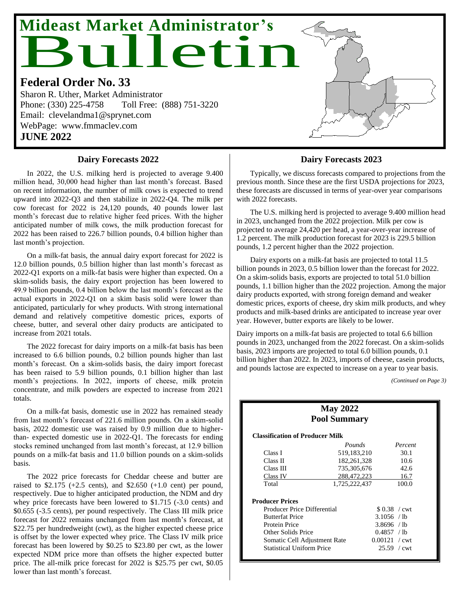# Bulletin **Mideast Market Administrator's**

#### **Federal Order No. 33**

Sharon R. Uther, Market Administrator Phone: (330) 225-4758 Toll Free: (888) 751-3220 Email: clevelandma1@sprynet.com WebPage: www.fmmaclev.com **JUNE 2022**

#### **Dairy Forecasts 2022**

In 2022, the U.S. milking herd is projected to average 9.400 million head, 30,000 head higher than last month's forecast. Based on recent information, the number of milk cows is expected to trend upward into 2022-Q3 and then stabilize in 2022-Q4. The milk per cow forecast for 2022 is 24,120 pounds, 40 pounds lower last month's forecast due to relative higher feed prices. With the higher anticipated number of milk cows, the milk production forecast for 2022 has been raised to 226.7 billion pounds, 0.4 billion higher than last month's projection.

On a milk-fat basis, the annual dairy export forecast for 2022 is 12.0 billion pounds, 0.5 billion higher than last month's forecast as 2022-Q1 exports on a milk-fat basis were higher than expected. On a skim-solids basis, the dairy export projection has been lowered to 49.9 billion pounds, 0.4 billion below the last month's forecast as the actual exports in 2022-Q1 on a skim basis solid were lower than anticipated, particularly for whey products. With strong international demand and relatively competitive domestic prices, exports of cheese, butter, and several other dairy products are anticipated to increase from 2021 totals.

The 2022 forecast for dairy imports on a milk-fat basis has been increased to 6.6 billion pounds, 0.2 billion pounds higher than last month's forecast. On a skim-solids basis, the dairy import forecast has been raised to 5.9 billion pounds, 0.1 billion higher than last month's projections. In 2022, imports of cheese, milk protein concentrate, and milk powders are expected to increase from 2021 totals.

On a milk-fat basis, domestic use in 2022 has remained steady from last month's forecast of 221.6 million pounds. On a skim-solid basis, 2022 domestic use was raised by 0.9 million due to higherthan- expected domestic use in 2022-Q1. The forecasts for ending stocks remined unchanged from last month's forecast, at 12.9 billion pounds on a milk-fat basis and 11.0 billion pounds on a skim-solids basis.

The 2022 price forecasts for Cheddar cheese and butter are raised to  $$2.175$  (+2.5 cents), and  $$2.650$  (+1.0 cent) per pound, respectively. Due to higher anticipated production, the NDM and dry whey price forecasts have been lowered to \$1.715 (-3.0 cents) and \$0.655 (-3.5 cents), per pound respectively. The Class III milk price forecast for 2022 remains unchanged from last month's forecast, at \$22.75 per hundredweight (cwt), as the higher expected cheese price is offset by the lower expected whey price. The Class IV milk price forecast has been lowered by \$0.25 to \$23.80 per cwt, as the lower expected NDM price more than offsets the higher expected butter price. The all-milk price forecast for 2022 is \$25.75 per cwt, \$0.05 lower than last month's forecast.

#### **Dairy Forecasts 2023**

Typically, we discuss forecasts compared to projections from the previous month. Since these are the first USDA projections for 2023, these forecasts are discussed in terms of year-over year comparisons with 2022 forecasts.

The U.S. milking herd is projected to average 9.400 million head in 2023, unchanged from the 2022 projection. Milk per cow is projected to average 24,420 per head, a year-over-year increase of 1.2 percent. The milk production forecast for 2023 is 229.5 billion pounds, 1.2 percent higher than the 2022 projection.

Dairy exports on a milk-fat basis are projected to total 11.5 billion pounds in 2023, 0.5 billion lower than the forecast for 2022. On a skim-solids basis, exports are projected to total 51.0 billion pounds, 1.1 billion higher than the 2022 projection. Among the major dairy products exported, with strong foreign demand and weaker domestic prices, exports of cheese, dry skim milk products, and whey products and milk-based drinks are anticipated to increase year over year. However, butter exports are likely to be lower.

Dairy imports on a milk-fat basis are projected to total 6.6 billion pounds in 2023, unchanged from the 2022 forecast. On a skim-solids basis, 2023 imports are projected to total 6.0 billion pounds, 0.1 billion higher than 2022. In 2023, imports of cheese, casein products, and pounds lactose are expected to increase on a year to year basis.

*(Continued on Page 3)*

| <b>May 2022</b><br><b>Pool Summary</b>                                                                                                                 |               |                                                                           |  |  |  |  |  |  |  |
|--------------------------------------------------------------------------------------------------------------------------------------------------------|---------------|---------------------------------------------------------------------------|--|--|--|--|--|--|--|
| <b>Classification of Producer Milk</b>                                                                                                                 |               |                                                                           |  |  |  |  |  |  |  |
|                                                                                                                                                        | Pounds        | Percent                                                                   |  |  |  |  |  |  |  |
| Class I                                                                                                                                                | 519, 183, 210 | 30.1                                                                      |  |  |  |  |  |  |  |
| Class II                                                                                                                                               | 182, 261, 328 | 10.6                                                                      |  |  |  |  |  |  |  |
| Class III                                                                                                                                              | 735,305,676   | 42.6                                                                      |  |  |  |  |  |  |  |
| Class IV                                                                                                                                               | 288,472,223   | 16.7                                                                      |  |  |  |  |  |  |  |
| Total                                                                                                                                                  | 1,725,222,437 | 100.0                                                                     |  |  |  |  |  |  |  |
| <b>Producer Prices</b><br>Producer Price Differential<br><b>Butterfat Price</b><br>Protein Price<br>Other Solids Price<br>Somatic Cell Adjustment Rate |               | \$0.38 / cwt<br>3.1056 / lb<br>3.8696 / lb<br>0.4857 / h<br>0.00121 / cwt |  |  |  |  |  |  |  |
| <b>Statistical Uniform Price</b>                                                                                                                       |               | $25.59 / \text{cwt}$                                                      |  |  |  |  |  |  |  |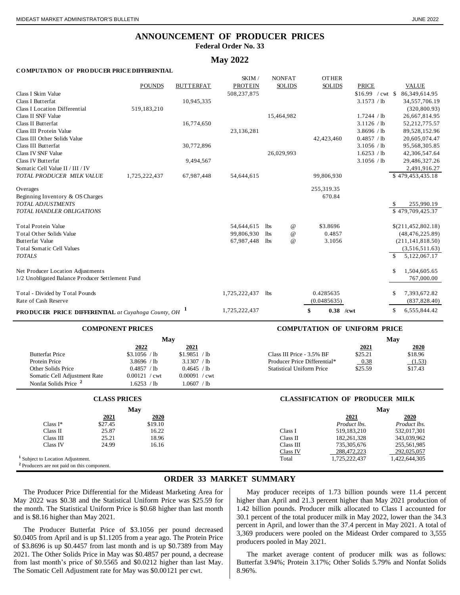### **ANNOUNCEMENT OF PRODUCER PRICES**

**Federal Order No. 33**

#### **May 2022**

#### **COMPUTATION OF PRODUCER PRICE DIFFERENTIAL**

|                                                           |               |                  | SKIM /         |            | <b>NONFAT</b>   | <b>OTHER</b>      |                   |                     |
|-----------------------------------------------------------|---------------|------------------|----------------|------------|-----------------|-------------------|-------------------|---------------------|
|                                                           | <b>POUNDS</b> | <b>BUTTERFAT</b> | <b>PROTEIN</b> |            | <b>SOLIDS</b>   | <b>SOLIDS</b>     | <b>PRICE</b>      | <b>VALUE</b>        |
| Class I Skim Value                                        |               |                  | 508,237,875    |            |                 |                   | $$16.99$ / cwt \$ | 86,349,614.95       |
| Class I Butterfat                                         |               | 10,945,335       |                |            |                 |                   | 3.1573 / lb       | 34,557,706.19       |
| <b>Class I Location Differential</b>                      | 519,183,210   |                  |                |            |                 |                   |                   | (320, 800.93)       |
| Class II SNF Value                                        |               |                  |                |            | 15,464,982      |                   | 1.7244 / lb       | 26,667,814.95       |
| Class II Butterfat                                        |               | 16,774,650       |                |            |                 |                   | 3.1126 / lb       | 52,212,775.57       |
| Class III Protein Value                                   |               |                  | 23,136,281     |            |                 |                   | 3.8696 / lb       | 89,528,152.96       |
| Class III Other Solids Value                              |               |                  |                |            |                 | 42,423,460        | 0.4857 / lb       | 20,605,074.47       |
| Class III Butterfat                                       |               | 30,772,896       |                |            |                 |                   | 3.1056 / lb       | 95,568,305.85       |
| Class IV SNF Value                                        |               |                  |                |            | 26,029,993      |                   | 1.6253 / lb       | 42,306,547.64       |
| Class IV Butterfat                                        |               | 9,494,567        |                |            |                 |                   | 3.1056 / lb       | 29,486,327.26       |
| Somatic Cell Value II / III / IV                          |               |                  |                |            |                 |                   |                   | 2,491,916.27        |
| TOTAL PRODUCER MILK VALUE                                 | 1,725,222,437 | 67,987,448       | 54,644,615     |            |                 | 99,806,930        |                   | \$479,453,435.18    |
| Overages                                                  |               |                  |                |            |                 | 255,319.35        |                   |                     |
| Beginning Inventory & OS Charges                          |               |                  |                |            |                 | 670.84            |                   |                     |
| TOTAL ADJUSTMENTS                                         |               |                  |                |            |                 |                   |                   | 255,990.19<br>\$.   |
| <b>TOTAL HANDLER OBLIGATIONS</b>                          |               |                  |                |            |                 |                   |                   | \$479,709,425.37    |
| <b>Total Protein Value</b>                                |               |                  | 54,644,615     | lbs        | $^{\copyright}$ | \$3.8696          |                   | \$(211,452,802.18)  |
| <b>Total Other Solids Value</b>                           |               |                  | 99,806,930     | <b>lbs</b> | $\omega$        | 0.4857            |                   | (48, 476, 225.89)   |
| Butterfat Value                                           |               |                  | 67,987,448     | lbs        | $^{\copyright}$ | 3.1056            |                   | (211, 141, 818.50)  |
| <b>Total Somatic Cell Values</b>                          |               |                  |                |            |                 |                   |                   | (3,516,511.63)      |
| <b>TOTALS</b>                                             |               |                  |                |            |                 |                   |                   | \$.<br>5,122,067.17 |
| Net Producer Location Adjustments                         |               |                  |                |            |                 |                   |                   | \$<br>1,504,605.65  |
| 1/2 Unobligated Balance Producer Settlement Fund          |               |                  |                |            |                 |                   |                   | 767,000.00          |
| Total - Divided by Total Pounds                           |               |                  | 1,725,222,437  | lbs        |                 | 0.4285635         |                   | 7,393,672.82<br>S   |
| Rate of Cash Reserve                                      |               |                  |                |            |                 | (0.0485635)       |                   | (837, 828.40)       |
| <b>PRODUCER PRICE DIFFERENTIAL</b> at Cuvahoga County, OH |               |                  | 1,725,222,437  |            |                 | \$<br>$0.38$ /cwt |                   | \$<br>6,555,844.42  |
|                                                           |               |                  |                |            |                 |                   |                   |                     |

|                                  | Mav                    |                        |                                  |         | May     |
|----------------------------------|------------------------|------------------------|----------------------------------|---------|---------|
|                                  | 2022                   | 2021                   |                                  | 2021    | 2020    |
| <b>Butterfat Price</b>           | \$3.1056 / lb          | \$1.9851 / lb          | Class III Price - 3.5% BF        | \$25.21 | \$18.96 |
| Protein Price                    | 3.8696 / lb            | 3.1307 / lb            | Producer Price Differential*     | 0.38    | (1.53)  |
| Other Solids Price               | 0.4857 / lb            | 0.4645 / lb            | <b>Statistical Uniform Price</b> | \$25.59 | \$17.43 |
| Somatic Cell Adjustment Rate     | $0.00121 / \text{cwt}$ | $0.00091 / \text{cwt}$ |                                  |         |         |
| Nonfat Solids Price <sup>2</sup> | .6253 / lb             | .0607 / lb             |                                  |         |         |

#### **COMPONENT PRICES COMPUTATION OF UNIFORM PRICE**

|           | May           |                                  |         | May     |
|-----------|---------------|----------------------------------|---------|---------|
| 2022      | 2021          |                                  | 2021    | 2020    |
| 1056 / lb | \$1.9851 / lb | Class III Price - 3.5% BF        | \$25.21 | \$18.96 |
| 3696 / lb | 3.1307 / lb   | Producer Price Differential*     | 0.38    | (1.53)  |
| 4857 / lb | 0.4645 / h    | <b>Statistical Uniform Price</b> | \$25.59 | \$17.43 |

|                                                        | <b>CLASS PRICES</b> |         |           | <b>CLASSIFICATION OF PRODUCER MILK</b> |               |
|--------------------------------------------------------|---------------------|---------|-----------|----------------------------------------|---------------|
|                                                        |                     | May     |           |                                        | May           |
|                                                        | 2021                | 2020    |           | 2021                                   | 2020          |
| $Class I^*$                                            | \$27.45             | \$19.10 |           | Product lbs.                           | Product lbs.  |
| Class II                                               | 25.87               | 16.22   | Class I   | 519.183.210                            | 532,017,301   |
| Class III                                              | 25.21               | 18.96   | Class II  | 182, 261, 328                          | 343,039,962   |
| Class IV                                               | 24.99               | 16.16   | Class III | 735,305,676                            | 255,561,985   |
|                                                        |                     |         | Class IV  | 288,472,223                            | 292,025,057   |
| <sup>1</sup> Subject to Location Adjustment.           |                     |         | Total     | 1,725,222,437                          | 1,422,644,305 |
| <sup>2</sup> Producers are not paid on this component. |                     |         |           |                                        |               |

#### **ORDER 33 MARKET SUMMARY**

The Producer Price Differential for the Mideast Marketing Area for May 2022 was \$0.38 and the Statistical Uniform Price was \$25.59 for the month. The Statistical Uniform Price is \$0.68 higher than last month and is \$8.16 higher than May 2021.

The Producer Butterfat Price of \$3.1056 per pound decreased \$0.0405 from April and is up \$1.1205 from a year ago. The Protein Price of \$3.8696 is up \$0.4457 from last month and is up \$0.7389 from May 2021. The Other Solids Price in May was \$0.4857 per pound, a decrease from last month's price of \$0.5565 and \$0.0212 higher than last May. The Somatic Cell Adjustment rate for May was \$0.00121 per cwt.

May producer receipts of 1.73 billion pounds were 11.4 percent higher than April and 21.3 percent higher than May 2021 production of 1.42 billion pounds. Producer milk allocated to Class I accounted for 30.1 percent of the total producer milk in May 2022, lower than the 34.3 percent in April, and lower than the 37.4 percent in May 2021. A total of 3,369 producers were pooled on the Mideast Order compared to 3,555 producers pooled in May 2021.

The market average content of producer milk was as follows: Butterfat 3.94%; Protein 3.17%; Other Solids 5.79% and Nonfat Solids 8.96%.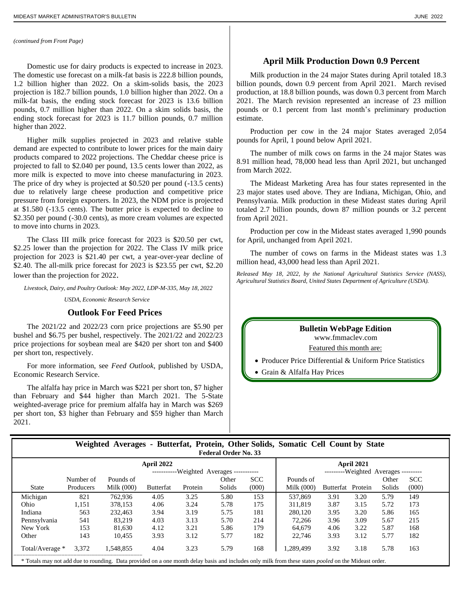#### *(continued from Front Page)*

Domestic use for dairy products is expected to increase in 2023. The domestic use forecast on a milk-fat basis is 222.8 billion pounds, 1.2 billion higher than 2022. On a skim-solids basis, the 2023 projection is 182.7 billion pounds, 1.0 billion higher than 2022. On a milk-fat basis, the ending stock forecast for 2023 is 13.6 billion pounds, 0.7 million higher than 2022. On a skim solids basis, the ending stock forecast for 2023 is 11.7 billion pounds, 0.7 million higher than 2022.

Higher milk supplies projected in 2023 and relative stable demand are expected to contribute to lower prices for the main dairy products compared to 2022 projections. The Cheddar cheese price is projected to fall to \$2.040 per pound, 13.5 cents lower than 2022, as more milk is expected to move into cheese manufacturing in 2023. The price of dry whey is projected at \$0.520 per pound  $(-13.5 \text{ cents})$ due to relatively large cheese production and competitive price pressure from foreign exporters. In 2023, the NDM price is projected at \$1.580 (-13.5 cents). The butter price is expected to decline to \$2.350 per pound (-30.0 cents), as more cream volumes are expected to move into churns in 2023.

The Class III milk price forecast for 2023 is \$20.50 per cwt, \$2.25 lower than the projection for 2022. The Class IV milk price projection for 2023 is \$21.40 per cwt, a year-over-year decline of \$2.40. The all-milk price forecast for 2023 is \$23.55 per cwt, \$2.20 lower than the projection for 2022.

*Livestock, Dairy, and Poultry Outlook: May 2022, LDP-M-335, May 18, 2022*

*USDA, Economic Research Service*

#### **Outlook For Feed Prices**

The 2021/22 and 2022/23 corn price projections are \$5.90 per bushel and \$6.75 per bushel, respectively. The 2021/22 and 2022/23 price projections for soybean meal are \$420 per short ton and \$400 per short ton, respectively.

For more information, see *Feed Outlook*, published by USDA, Economic Research Service.

The alfalfa hay price in March was \$221 per short ton, \$7 higher than February and \$44 higher than March 2021. The 5-State weighted-average price for premium alfalfa hay in March was \$269 per short ton, \$3 higher than February and \$59 higher than March 2021.

#### **April Milk Production Down 0.9 Percent**

Milk production in the 24 major States during April totaled 18.3 billion pounds, down 0.9 percent from April 2021. March revised production, at 18.8 billion pounds, was down 0.3 percent from March 2021. The March revision represented an increase of 23 million pounds or 0.1 percent from last month's preliminary production estimate.

Production per cow in the 24 major States averaged 2,054 pounds for April, 1 pound below April 2021.

The number of milk cows on farms in the 24 major States was 8.91 million head, 78,000 head less than April 2021, but unchanged from March 2022.

The Mideast Marketing Area has four states represented in the 23 major states used above. They are Indiana, Michigan, Ohio, and Pennsylvania. Milk production in these Mideast states during April totaled 2.7 billion pounds, down 87 million pounds or 3.2 percent from April 2021.

Production per cow in the Mideast states averaged 1,990 pounds for April, unchanged from April 2021.

The number of cows on farms in the Mideast states was 1.3 million head, 43,000 head less than April 2021.

*Released May 18, 2022, by the National Agricultural Statistics Service (NASS), Agricultural Statistics Board, United States Department of Agriculture (USDA).*

#### **Bulletin WebPage Edition**

.www.fmmaclev.com

Featured this month are:

• Producer Price Differential & Uniform Price Statistics

• Grain & Alfalfa Hay Prices

|  |  | Weighted Averages - Butterfat, Protein, Other Solids, Somatic Cell Count by State |  |  |
|--|--|-----------------------------------------------------------------------------------|--|--|
|  |  | <b>Federal Order No. 33</b>                                                       |  |  |

| April 2022                                                                                                                                                  |           |            |                  |         |        |            | April 2021                           |                   |      |        |            |
|-------------------------------------------------------------------------------------------------------------------------------------------------------------|-----------|------------|------------------|---------|--------|------------|--------------------------------------|-------------------|------|--------|------------|
| -----------Weighted Averages -----------                                                                                                                    |           |            |                  |         |        |            | ---------Weighted Averages --------- |                   |      |        |            |
|                                                                                                                                                             | Number of | Pounds of  |                  |         | Other  | <b>SCC</b> | Pounds of                            |                   |      | Other  | <b>SCC</b> |
| <b>State</b>                                                                                                                                                | Producers | Milk (000) | <b>Butterfat</b> | Protein | Solids | (000)      | Milk $(000)$                         | Butterfat Protein |      | Solids | (000)      |
| Michigan                                                                                                                                                    | 821       | 762,936    | 4.05             | 3.25    | 5.80   | 153        | 537,869                              | 3.91              | 3.20 | 5.79   | 149        |
| Ohio                                                                                                                                                        | 1,151     | 378,153    | 4.06             | 3.24    | 5.78   | 175        | 311.819                              | 3.87              | 3.15 | 5.72   | 173        |
| Indiana                                                                                                                                                     | 563       | 232,463    | 3.94             | 3.19    | 5.75   | 181        | 280,120                              | 3.95              | 3.20 | 5.86   | 165        |
| Pennsylvania                                                                                                                                                | 541       | 83.219     | 4.03             | 3.13    | 5.70   | 214        | 72.266                               | 3.96              | 3.09 | 5.67   | 215        |
| New York                                                                                                                                                    | 153       | 81,630     | 4.12             | 3.21    | 5.86   | 179        | 64.679                               | 4.06              | 3.22 | 5.87   | 168        |
| Other                                                                                                                                                       | 143       | 10.455     | 3.93             | 3.12    | 5.77   | 182        | 22,746                               | 3.93              | 3.12 | 5.77   | 182        |
| Total/Average *                                                                                                                                             | 3,372     | 1.548.855  | 4.04             | 3.23    | 5.79   | 168        | .289.499                             | 3.92              | 3.18 | 5.78   | 163        |
| * Totals may not add due to rounding. Data provided on a one month delay basis and includes only milk from these states <i>pooled</i> on the Mideast order. |           |            |                  |         |        |            |                                      |                   |      |        |            |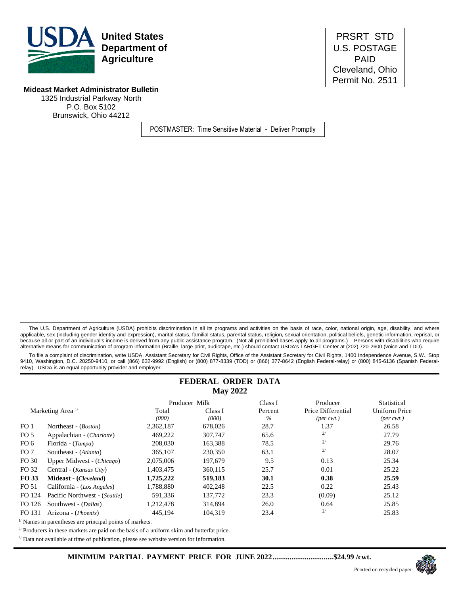

**United States PRSRT STD Department of** U.S. POSTAGE Cleveland, Ohio Permit No. 2511

#### **Mideast Market Administrator Bulletin**

1325 Industrial Parkway North P.O. Box 5102 Brunswick, Ohio 44212

POSTMASTER: Time Sensitive Material - Deliver Promptly

The U.S. Department of Agriculture (USDA) prohibits discrimination in all its programs and activities on the basis of race, color, national origin, age, disability, and where applicable, sex (including gender identity and expression), marital status, familial status, parental status, religion, sexual orientation, political beliefs, genetic information, reprisal, or because all or part of an individual's income is derived from any public assistance program. (Not all prohibited bases apply to all programs.) Persons with disabilities who require alternative means for communication of program information (Braille, large print, audiotape, etc.) should contact USDA's TARGET Center at (202) 720-2600 (voice and TDD).

 To file a complaint of discrimination, write USDA, Assistant Secretary for Civil Rights, Office of the Assistant Secretary for Civil Rights, 1400 Independence Avenue, S.W., Stop 9410, Washington, D.C. 20250-9410, or call (866) 632-9992 (English) or (800) 877-8339 (TDD) or (866) 377-8642 (English Federal-relay) or (800) 845-6136 (Spanish Federalrelay). USDA is an equal opportunity provider and employer.

#### **FEDERAL ORDER DATA May 2022**

|                 |                               |           | Producer Milk | Class I       | Producer                    | Statistical                 |
|-----------------|-------------------------------|-----------|---------------|---------------|-----------------------------|-----------------------------|
|                 | Marketing Area <sup>1/</sup>  | Total     | Class I       | Percent       | Price Differential          | <b>Uniform Price</b>        |
|                 |                               | (000)     | (000)         | $\frac{0}{6}$ | $(\text{per} \text{ cwt.})$ | $(\text{per} \text{ cwt.})$ |
| FO <sub>1</sub> | Northeast - ( <i>Boston</i> ) | 2,362,187 | 678,026       | 28.7          | 1.37                        | 26.58                       |
| FO <sub>5</sub> | Appalachian - (Charlotte)     | 469,222   | 307,747       | 65.6          | 2/                          | 27.79                       |
| FO 6            | Florida - (Tampa)             | 208,030   | 163,388       | 78.5          | 2/                          | 29.76                       |
| FO <sub>7</sub> | Southeast - (Atlanta)         | 365,107   | 230,350       | 63.1          | 2/                          | 28.07                       |
| FO 30           | Upper Midwest - (Chicago)     | 2,075,006 | 197,679       | 9.5           | 0.13                        | 25.34                       |
| FO 32           | Central - (Kansas City)       | 1.403.475 | 360,115       | 25.7          | 0.01                        | 25.22                       |
| FO 33           | Mideast - (Cleveland)         | 1,725,222 | 519,183       | 30.1          | 0.38                        | 25.59                       |
| FO 51           | California - (Los Angeles)    | 1.788.880 | 402,248       | 22.5          | 0.22                        | 25.43                       |
| FO 124          | Pacific Northwest - (Seattle) | 591,336   | 137,772       | 23.3          | (0.09)                      | 25.12                       |
| FO 126          | Southwest - ( <i>Dallas</i> ) | 1,212,478 | 314,894       | 26.0          | 0.64                        | 25.85                       |
| FO 131          | Arizona - ( <i>Phoenix</i> )  | 445.194   | 104.319       | 23.4          | 2/                          | 25.83                       |
|                 |                               |           |               |               |                             |                             |

 $^{\text{\tiny{I\!I}}}$  Names in parentheses are principal points of markets.

<sup>2/</sup> Producers in these markets are paid on the basis of a uniform skim and butterfat price.

<sup>3/</sup> Data not available at time of publication, please see website version for information.

**MINIMUM PARTIAL PAYMENT PRICE FOR JUNE 2022................................\$24.99 /cwt.**